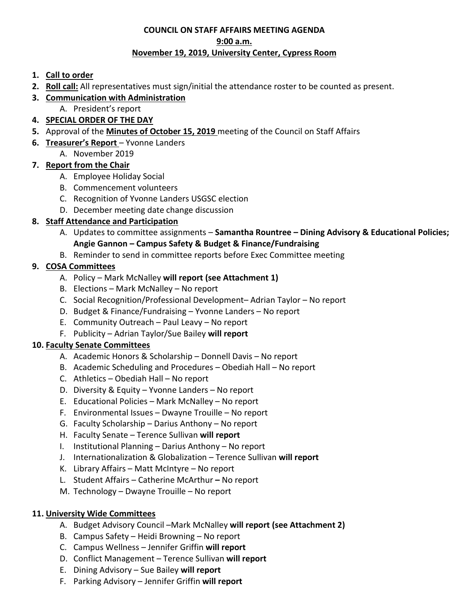## **COUNCIL ON STAFF AFFAIRS MEETING AGENDA 9:00 a.m. November 19, 2019, University Center, Cypress Room**

## **1. Call to order**

- **2. Roll call:** All representatives must sign/initial the attendance roster to be counted as present.
- **3. Communication with Administration**
	- A. President's report
- **4. SPECIAL ORDER OF THE DAY**
- **5.** Approval of the **Minutes of October 15, 2019** meeting of the Council on Staff Affairs
- **6. Treasurer's Report** Yvonne Landers
	- A. November 2019

## **7. Report from the Chair**

- A. Employee Holiday Social
- B. Commencement volunteers
- C. Recognition of Yvonne Landers USGSC election
- D. December meeting date change discussion

# **8. Staff Attendance and Participation**

- A. Updates to committee assignments **Samantha Rountree Dining Advisory & Educational Policies; Angie Gannon – Campus Safety & Budget & Finance/Fundraising**
- B. Reminder to send in committee reports before Exec Committee meeting

# **9. COSA Committees**

- A. Policy Mark McNalley **will report (see Attachment 1)**
- B. Elections Mark McNalley No report
- C. Social Recognition/Professional Development– Adrian Taylor No report
- D. Budget & Finance/Fundraising Yvonne Landers No report
- E. Community Outreach Paul Leavy No report
- F. Publicity Adrian Taylor/Sue Bailey **will report**

# **10. Faculty Senate Committees**

- A. Academic Honors & Scholarship Donnell Davis No report
- B. Academic Scheduling and Procedures Obediah Hall No report
- C. Athletics Obediah Hall No report
- D. Diversity & Equity Yvonne Landers No report
- E. Educational Policies Mark McNalley No report
- F. Environmental Issues Dwayne Trouille No report
- G. Faculty Scholarship Darius Anthony No report
- H. Faculty Senate Terence Sullivan **will report**
- I. Institutional Planning Darius Anthony No report
- J. Internationalization & Globalization Terence Sullivan **will report**
- K. Library Affairs Matt McIntyre No report
- L. Student Affairs Catherine McArthur No report
- M. Technology Dwayne Trouille No report

## **11. University Wide Committees**

- A. Budget Advisory Council –Mark McNalley **will report (see Attachment 2)**
- B. Campus Safety Heidi Browning No report
- C. Campus Wellness Jennifer Griffin **will report**
- D. Conflict Management Terence Sullivan **will report**
- E. Dining Advisory Sue Bailey **will report**
- F. Parking Advisory Jennifer Griffin **will report**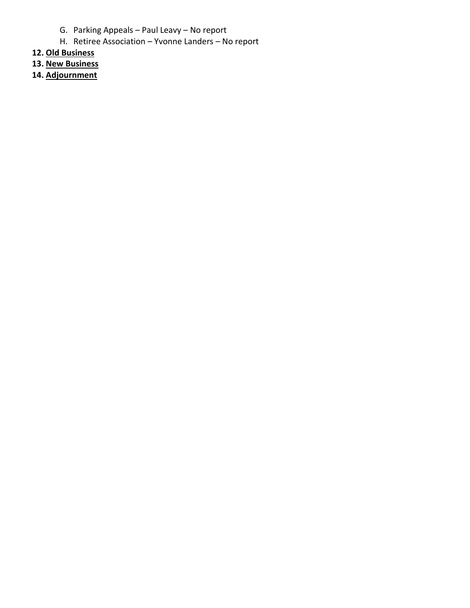- G. Parking Appeals Paul Leavy No report
- H. Retiree Association Yvonne Landers No report
- **12. Old Business**
- **13. New Business**
- **14. Adjournment**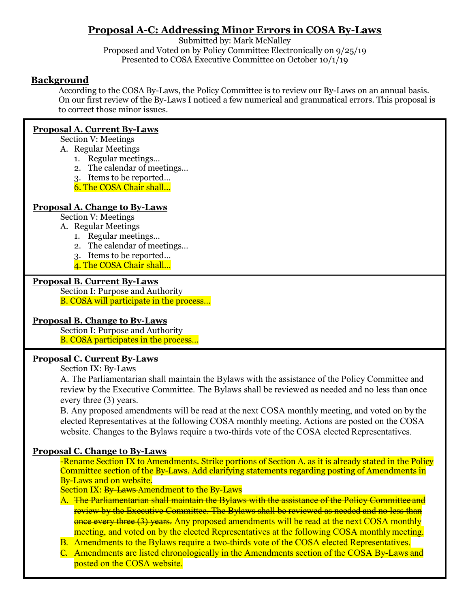# **Proposal A-C: Addressing Minor Errors in COSA By-Laws**

Submitted by: Mark McNalley Proposed and Voted on by Policy Committee Electronically on 9/25/19 Presented to COSA Executive Committee on October 10/1/19

#### **Background**

According to the COSA By-Laws, the Policy Committee is to review our By-Laws on an annual basis. On our first review of the By-Laws I noticed a few numerical and grammatical errors. This proposal is to correct those minor issues.

#### **Proposal A. Current By-Laws**

Section V: Meetings

- A. Regular Meetings
	- 1. Regular meetings…
	- 2. The calendar of meetings…
	- 3. Items to be reported…
	- 6. The COSA Chair shall…

#### **Proposal A. Change to By-Laws**

Section V: Meetings

- A. Regular Meetings
	- 1. Regular meetings…
	- 2. The calendar of meetings…
	- 3. Items to be reported…
	- 4. The COSA Chair shall…

#### **Proposal B. Current By-Laws**

Section I: Purpose and Authority B. COSA will participate in the process…

#### **Proposal B. Change to By-Laws**

Section I: Purpose and Authority B. COSA participates in the process…

#### **Proposal C. Current By-Laws**

Section IX: By-Laws

A. The Parliamentarian shall maintain the Bylaws with the assistance of the Policy Committee and review by the Executive Committee. The Bylaws shall be reviewed as needed and no less than once every three (3) years.

B. Any proposed amendments will be read at the next COSA monthly meeting, and voted on by the elected Representatives at the following COSA monthly meeting. Actions are posted on the COSA website. Changes to the Bylaws require a two-thirds vote of the COSA elected Representatives.

#### **Proposal C. Change to By-Laws**

-Rename Section IX to Amendments. Strike portions of Section A. as it is already stated in the Policy Committee section of the By-Laws. Add clarifying statements regarding posting of Amendments in By-Laws and on website.

Section IX: By-Laws-Amendment to the By-Laws

A. The Parliamentarian shall maintain the Bylaws with the assistance of the Policy Committee and review by the Executive Committee. The Bylaws shall be reviewed as needed and no less than once every three (3) years. Any proposed amendments will be read at the next COSA monthly meeting, and voted on by the elected Representatives at the following COSA monthly meeting.

- B. Amendments to the Bylaws require a two-thirds vote of the COSA elected Representatives.
- C. Amendments are listed chronologically in the Amendments section of the COSA By-Laws and posted on the COSA website.